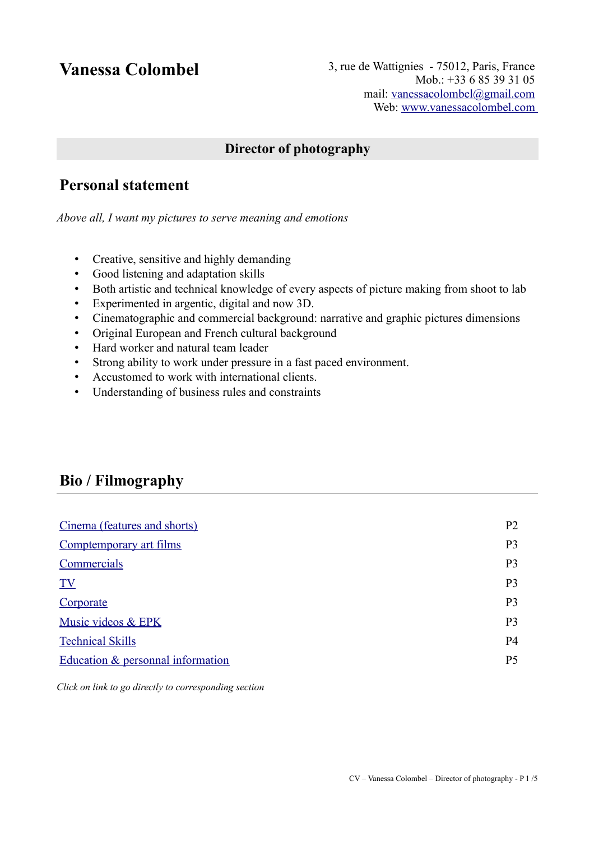**Vanessa Colombel** 3, rue de Wattignies - 75012, Paris, France Mob.: +33 6 85 39 31 05 mail: [vanessacolombel@gmail.com](mailto:vanessacolombel@gmail.com) Web: www.vanessacolombel.com

### **Director of photography**

# **Personal statement**

*Above all, I want my pictures to serve meaning and emotions*

- Creative, sensitive and highly demanding
- Good listening and adaptation skills
- Both artistic and technical knowledge of every aspects of picture making from shoot to lab
- Experimented in argentic, digital and now 3D.
- Cinematographic and commercial background: narrative and graphic pictures dimensions
- Original European and French cultural background
- Hard worker and natural team leader
- Strong ability to work under pressure in a fast paced environment.
- Accustomed to work with international clients.
- Understanding of business rules and constraints

# **Bio / Filmography**

| Cinema (features and shorts)        | P <sub>2</sub> |
|-------------------------------------|----------------|
| Comptemporary art films             | P <sub>3</sub> |
| Commercials                         | P <sub>3</sub> |
| TV                                  | P <sub>3</sub> |
| Corporate                           | P <sub>3</sub> |
| Music videos & EPK                  | P <sub>3</sub> |
| <b>Technical Skills</b>             | P <sub>4</sub> |
| Education $&$ personnal information | P <sub>5</sub> |

*Click on link to go directly to corresponding section*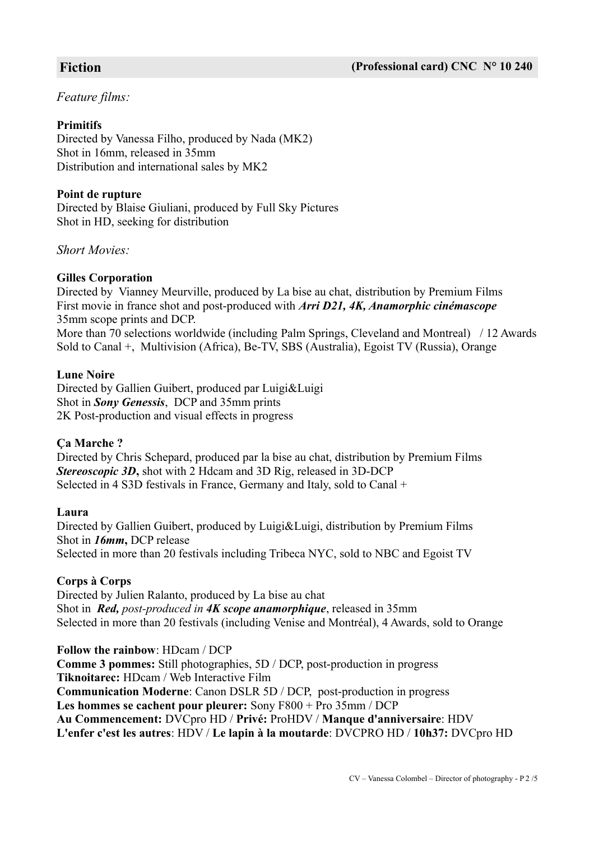#### <span id="page-1-0"></span>*Feature films:*

#### **Primitifs**

Directed by Vanessa Filho, produced by Nada (MK2) Shot in 16mm, released in 35mm Distribution and international sales by MK2

#### **Point de rupture**

Directed by Blaise Giuliani, produced by Full Sky Pictures Shot in HD, seeking for distribution

*Short Movies:*

#### **Gilles Corporation**

Directed by Vianney Meurville, produced by La bise au chat, distribution by Premium Films First movie in france shot and post-produced with *Arri D21, 4K, Anamorphic cinémascope* 35mm scope prints and DCP. More than 70 selections worldwide (including Palm Springs, Cleveland and Montreal) / 12 Awards Sold to Canal +, Multivision (Africa), Be-TV, SBS (Australia), Egoist TV (Russia), Orange

#### **Lune Noire**

Directed by Gallien Guibert, produced par Luigi&Luigi Shot in *Sony Genessis*, DCP and 35mm prints 2K Post-production and visual effects in progress

#### **Ça Marche ?**

Directed by Chris Schepard, produced par la bise au chat, distribution by Premium Films *Stereoscopic 3D***,** shot with 2 Hdcam and 3D Rig, released in 3D-DCP Selected in 4 S3D festivals in France, Germany and Italy, sold to Canal +

#### **Laura**

Directed by Gallien Guibert, produced by Luigi&Luigi, distribution by Premium Films Shot in *16mm***,** DCP release Selected in more than 20 festivals including Tribeca NYC, sold to NBC and Egoist TV

#### **Corps à Corps**

Directed by Julien Ralanto, produced by La bise au chat Shot in *Red, post-produced in 4K scope anamorphique*, released in 35mm Selected in more than 20 festivals (including Venise and Montréal), 4 Awards, sold to Orange

**Follow the rainbow**: HDcam / DCP **Comme 3 pommes:** Still photographies, 5D / DCP, post-production in progress **Tiknoitarec:** HDcam / Web Interactive Film **Communication Moderne**: Canon DSLR 5D / DCP, post-production in progress **Les hommes se cachent pour pleurer:** Sony F800 + Pro 35mm / DCP **Au Commencement:** DVCpro HD / **Privé:** ProHDV / **Manque d'anniversaire**: HDV **L'enfer c'est les autres**: HDV / **Le lapin à la moutarde**: DVCPRO HD / **10h37:** DVCpro HD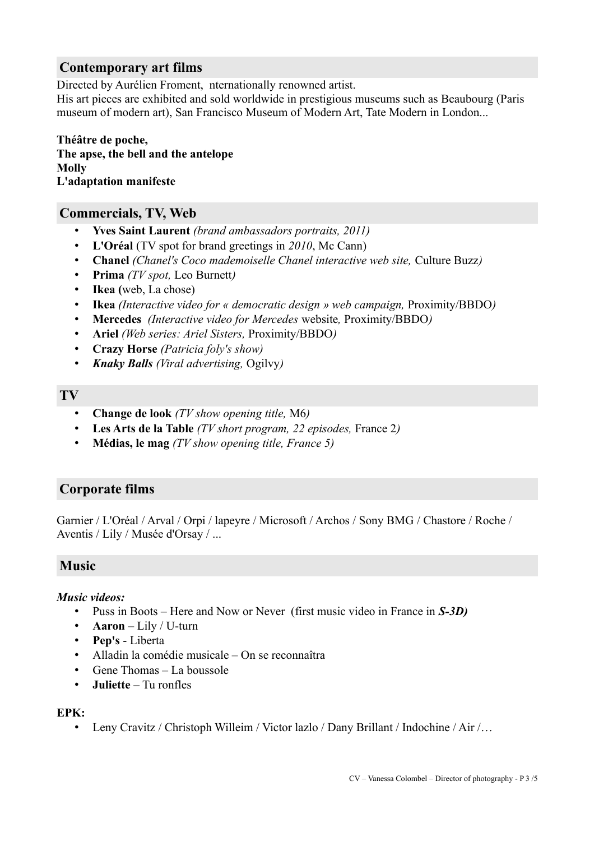#### <span id="page-2-4"></span>**Contemporary art films**

Directed by Aurélien Froment, nternationally renowned artist.

His art pieces are exhibited and sold worldwide in prestigious museums such as Beaubourg (Paris museum of modern art), San Francisco Museum of Modern Art, Tate Modern in London...

**Théâtre de poche, The apse, the bell and the antelope Molly L'adaptation manifeste**

#### **Commercials, TV, Web**

- <span id="page-2-3"></span>• **Yves Saint Laurent** *(brand ambassadors portraits, 2011)*
- **L'Oréal** (TV spot for brand greetings in *2010*, Mc Cann)
- **Chanel** *(Chanel's Coco mademoiselle Chanel interactive web site,* Culture Buzz*)*
- **Prima** *(TV spot,* Leo Burnett*)*
- **Ikea (**web, La chose)
- **Ikea** *(Interactive video for « democratic design » web campaign,* Proximity/BBDO*)*
- **Mercedes** *(Interactive video for Mercedes* website*,* Proximity/BBDO*)*
- **Ariel** *(Web series: Ariel Sisters,* Proximity/BBDO*)*
- **Crazy Horse** *(Patricia foly's show)*
- *Knaky Balls (Viral advertising,* Ogilvy*)*

#### <span id="page-2-2"></span>**TV**

- **Change de look** *(TV show opening title,* M6*)*
- **Les Arts de la Table** *(TV short program, 22 episodes,* France 2*)*
- **Médias, le mag** *(TV show opening title, France 5)*

#### <span id="page-2-1"></span>**Corporate films**

Garnier / L'Oréal / Arval / Orpi / lapeyre / Microsoft / Archos / Sony BMG / Chastore / Roche / Aventis / Lily / Musée d'Orsay / ...

#### <span id="page-2-0"></span>**Music**

#### *Music videos:*

- Puss in Boots Here and Now or Never (first music video in France in *S-3D)*
- **Aaron** Lily / U-turn
- **Pep's** Liberta
- Alladin la comédie musicale On se reconnaîtra
- Gene Thomas La boussole
- **Juliette** Tu ronfles

#### **EPK:**

• Leny Cravitz / Christoph Willeim / Victor lazlo / Dany Brillant / Indochine / Air /...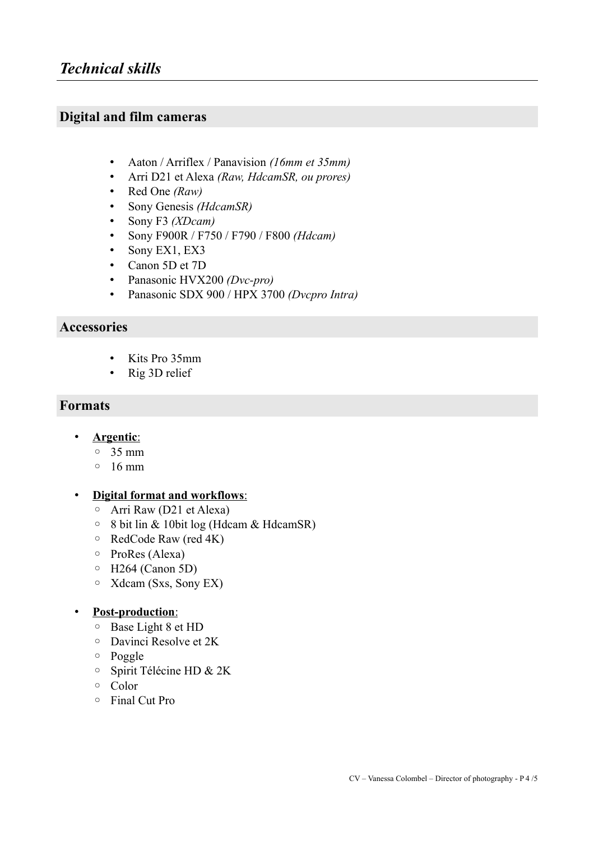### <span id="page-3-0"></span>**Digital and film cameras**

- Aaton / Arriflex / Panavision *(16mm et 35mm)*
- Arri D21 et Alexa *(Raw, HdcamSR, ou prores)*
- Red One *(Raw)*
- Sony Genesis *(HdcamSR)*
- Sony F3 *(XDcam)*
- Sony F900R / F750 / F790 / F800 *(Hdcam)*
- Sony EX1, EX3
- Canon 5D et 7D
- Panasonic HVX200 *(Dvc-pro)*
- Panasonic SDX 900 / HPX 3700 *(Dvcpro Intra)*

#### **Accessories**

- Kits Pro 35mm
- Rig 3D relief

#### **Formats**

- • **Argentic**:
	- 35 mm
	- 16 mm

#### • **Digital format and workflows**:

- Arri Raw (D21 et Alexa)
- 8 bit lin & 10bit log (Hdcam & HdcamSR)
- RedCode Raw (red 4K)
- ProRes (Alexa)
- H264 (Canon 5D)
- Xdcam (Sxs, Sony EX)

#### • **Post-production**:

- Base Light 8 et HD
- Davinci Resolve et 2K
- Poggle
- Spirit Télécine HD & 2K
- Color
- Final Cut Pro